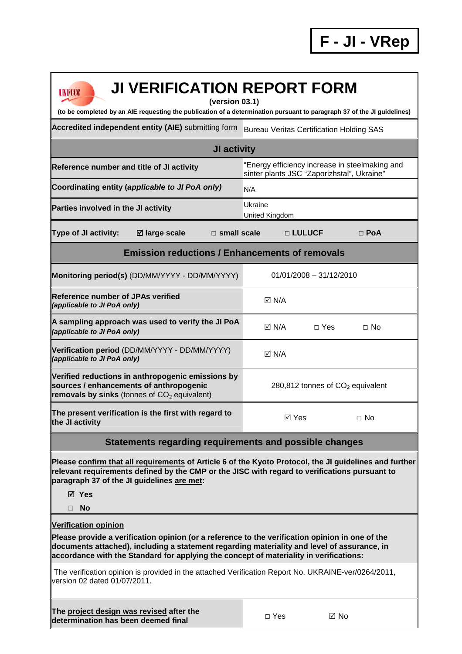## **JI VERIFICATION REPORT FORM**

**(version 03.1)** 

**(to be completed by an AIE requesting the publication of a determination pursuant to paragraph 37 of the JI guidelines)** 

Accredited independent entity (AIE) submitting form Bureau Veritas Certification Holding SAS

| <b>JI activity</b>                                                                                                                                |                                                                                              |  |  |  |
|---------------------------------------------------------------------------------------------------------------------------------------------------|----------------------------------------------------------------------------------------------|--|--|--|
| Reference number and title of JI activity                                                                                                         | "Energy efficiency increase in steelmaking and<br>sinter plants JSC "Zaporizhstal", Ukraine" |  |  |  |
| Coordinating entity (applicable to JI PoA only)                                                                                                   | N/A                                                                                          |  |  |  |
| Parties involved in the JI activity                                                                                                               | Ukraine<br>United Kingdom                                                                    |  |  |  |
| $\boxtimes$ large scale<br>Type of JI activity:<br>$\Box$ small scale                                                                             | □ LULUCF<br>$\Box$ PoA                                                                       |  |  |  |
| <b>Emission reductions / Enhancements of removals</b>                                                                                             |                                                                                              |  |  |  |
| Monitoring period(s) (DD/MM/YYYY - DD/MM/YYYY)                                                                                                    | $01/01/2008 - 31/12/2010$                                                                    |  |  |  |
| Reference number of JPAs verified<br>(applicable to JI PoA only)                                                                                  | $\boxdot$ N/A                                                                                |  |  |  |
| A sampling approach was used to verify the JI PoA<br>(applicable to JI PoA only)                                                                  | $\boxdot$ N/A<br>$\Box$ Yes<br>$\Box$ No                                                     |  |  |  |
| Verification period (DD/MM/YYYY - DD/MM/YYYY)<br>(applicable to JI PoA only)                                                                      | $\boxdot$ N/A                                                                                |  |  |  |
| Verified reductions in anthropogenic emissions by<br>sources / enhancements of anthropogenic<br>removals by sinks (tonnes of $CO2$ equivalent)    | 280,812 tonnes of $CO2$ equivalent                                                           |  |  |  |
| The present verification is the first with regard to<br>the JI activity                                                                           | $\boxtimes$ Yes<br>$\Box$ No                                                                 |  |  |  |
| <b>Statements regarding requirements and possible changes</b>                                                                                     |                                                                                              |  |  |  |
| $\alpha$ , the total association of a state of the fit of $\alpha$ , the fit of $\alpha$ is the state of the state of $\alpha$ . It is the fit of |                                                                                              |  |  |  |

**Please confirm that all requirements of Article 6 of the Kyoto Protocol, the JI guidelines and further relevant requirements defined by the CMP or the JISC with regard to verifications pursuant to paragraph 37 of the JI guidelines are met:** 

**Yes** 

**UNFCCC** 

**No** 

**Verification opinion**

**Please provide a verification opinion (or a reference to the verification opinion in one of the documents attached), including a statement regarding materiality and level of assurance, in accordance with the Standard for applying the concept of materiality in verifications:** 

 The verification opinion is provided in the attached Verification Report No. UKRAINE-ver/0264/2011, version 02 dated 01/07/2011.

| The project design was revised after the<br>determination has been deemed final | $\Box$ Yes | $\boxtimes$ No |  |
|---------------------------------------------------------------------------------|------------|----------------|--|
|                                                                                 |            |                |  |